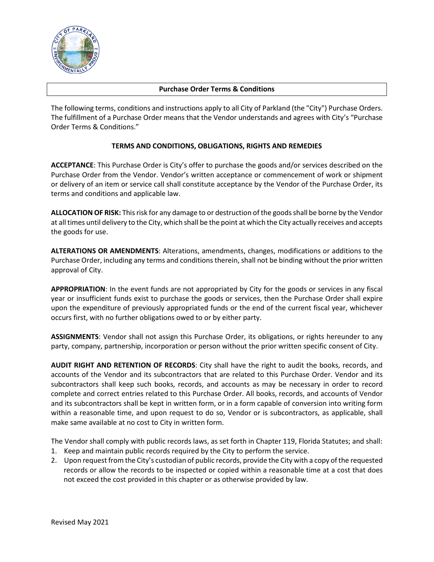

### **Purchase Order Terms & Conditions**

The following terms, conditions and instructions apply to all City of Parkland (the "City") Purchase Orders. The fulfillment of a Purchase Order means that the Vendor understands and agrees with City's "Purchase Order Terms & Conditions."

## **TERMS AND CONDITIONS, OBLIGATIONS, RIGHTS AND REMEDIES**

**ACCEPTANCE**: This Purchase Order is City's offer to purchase the goods and/or services described on the Purchase Order from the Vendor. Vendor's written acceptance or commencement of work or shipment or delivery of an item or service call shall constitute acceptance by the Vendor of the Purchase Order, its terms and conditions and applicable law.

**ALLOCATION OF RISK:** This risk for any damage to or destruction of the goods shall be borne by the Vendor at all times until delivery to the City, which shall be the point at which the City actually receives and accepts the goods for use.

**ALTERATIONS OR AMENDMENTS**: Alterations, amendments, changes, modifications or additions to the Purchase Order, including any terms and conditions therein, shall not be binding without the prior written approval of City.

**APPROPRIATION**: In the event funds are not appropriated by City for the goods or services in any fiscal year or insufficient funds exist to purchase the goods or services, then the Purchase Order shall expire upon the expenditure of previously appropriated funds or the end of the current fiscal year, whichever occurs first, with no further obligations owed to or by either party.

**ASSIGNMENTS**: Vendor shall not assign this Purchase Order, its obligations, or rights hereunder to any party, company, partnership, incorporation or person without the prior written specific consent of City.

**AUDIT RIGHT AND RETENTION OF RECORDS**: City shall have the right to audit the books, records, and accounts of the Vendor and its subcontractors that are related to this Purchase Order. Vendor and its subcontractors shall keep such books, records, and accounts as may be necessary in order to record complete and correct entries related to this Purchase Order. All books, records, and accounts of Vendor and its subcontractors shall be kept in written form, or in a form capable of conversion into writing form within a reasonable time, and upon request to do so, Vendor or is subcontractors, as applicable, shall make same available at no cost to City in written form.

The Vendor shall comply with public records laws, as set forth in Chapter 119, Florida Statutes; and shall:

- 1. Keep and maintain public records required by the City to perform the service.
- 2. Upon request from the City's custodian of public records, provide the City with a copy of the requested records or allow the records to be inspected or copied within a reasonable time at a cost that does not exceed the cost provided in this chapter or as otherwise provided by law.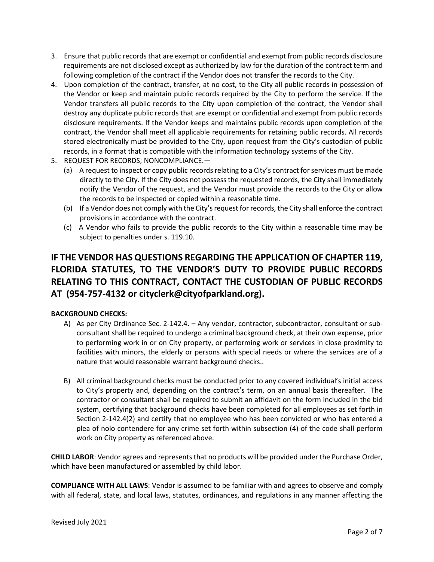- 3. Ensure that public records that are exempt or confidential and exempt from public records disclosure requirements are not disclosed except as authorized by law for the duration of the contract term and following completion of the contract if the Vendor does not transfer the records to the City.
- 4. Upon completion of the contract, transfer, at no cost, to the City all public records in possession of the Vendor or keep and maintain public records required by the City to perform the service. If the Vendor transfers all public records to the City upon completion of the contract, the Vendor shall destroy any duplicate public records that are exempt or confidential and exempt from public records disclosure requirements. If the Vendor keeps and maintains public records upon completion of the contract, the Vendor shall meet all applicable requirements for retaining public records. All records stored electronically must be provided to the City, upon request from the City's custodian of public records, in a format that is compatible with the information technology systems of the City.
- 5. REQUEST FOR RECORDS; NONCOMPLIANCE.—
	- (a) A request to inspect or copy public records relating to a City's contract for services must be made directly to the City. If the City does not possess the requested records, the City shall immediately notify the Vendor of the request, and the Vendor must provide the records to the City or allow the records to be inspected or copied within a reasonable time.
	- (b) If a Vendor does not comply with the City's request for records, the City shall enforce the contract provisions in accordance with the contract.
	- (c) A Vendor who fails to provide the public records to the City within a reasonable time may be subject to penalties under s. 119.10.

# **IF THE VENDOR HAS QUESTIONS REGARDING THE APPLICATION OF CHAPTER 119, FLORIDA STATUTES, TO THE VENDOR'S DUTY TO PROVIDE PUBLIC RECORDS RELATING TO THIS CONTRACT, CONTACT THE CUSTODIAN OF PUBLIC RECORDS AT (954-757-4132 or cityclerk@cityofparkland.org).**

## **BACKGROUND CHECKS:**

- A) As per City Ordinance Sec. 2-142.4. Any vendor, contractor, subcontractor, consultant or subconsultant shall be required to undergo a criminal background check, at their own expense, prior to performing work in or on City property, or performing work or services in close proximity to facilities with minors, the elderly or persons with special needs or where the services are of a nature that would reasonable warrant background checks..
- B) All criminal background checks must be conducted prior to any covered individual's initial access to City's property and, depending on the contract's term, on an annual basis thereafter. The contractor or consultant shall be required to submit an affidavit on the form included in the bid system, certifying that background checks have been completed for all employees as set forth in Section 2-142.4(2) and certify that no employee who has been convicted or who has entered a plea of nolo contendere for any crime set forth within subsection (4) of the code shall perform work on City property as referenced above.

**CHILD LABOR**: Vendor agrees and represents that no products will be provided under the Purchase Order, which have been manufactured or assembled by child labor.

**COMPLIANCE WITH ALL LAWS**: Vendor is assumed to be familiar with and agrees to observe and comply with all federal, state, and local laws, statutes, ordinances, and regulations in any manner affecting the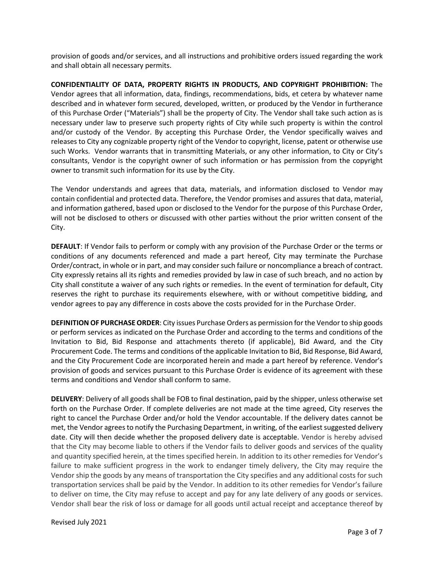provision of goods and/or services, and all instructions and prohibitive orders issued regarding the work and shall obtain all necessary permits.

**CONFIDENTIALITY OF DATA, PROPERTY RIGHTS IN PRODUCTS, AND COPYRIGHT PROHIBITION:** The Vendor agrees that all information, data, findings, recommendations, bids, et cetera by whatever name described and in whatever form secured, developed, written, or produced by the Vendor in furtherance of this Purchase Order ("Materials") shall be the property of City. The Vendor shall take such action as is necessary under law to preserve such property rights of City while such property is within the control and/or custody of the Vendor. By accepting this Purchase Order, the Vendor specifically waives and releases to City any cognizable property right of the Vendor to copyright, license, patent or otherwise use such Works. Vendor warrants that in transmitting Materials, or any other information, to City or City's consultants, Vendor is the copyright owner of such information or has permission from the copyright owner to transmit such information for its use by the City.

The Vendor understands and agrees that data, materials, and information disclosed to Vendor may contain confidential and protected data. Therefore, the Vendor promises and assures that data, material, and information gathered, based upon or disclosed to the Vendor for the purpose of this Purchase Order, will not be disclosed to others or discussed with other parties without the prior written consent of the City.

**DEFAULT**: If Vendor fails to perform or comply with any provision of the Purchase Order or the terms or conditions of any documents referenced and made a part hereof, City may terminate the Purchase Order/contract, in whole or in part, and may consider such failure or noncompliance a breach of contract. City expressly retains all its rights and remedies provided by law in case of such breach, and no action by City shall constitute a waiver of any such rights or remedies. In the event of termination for default, City reserves the right to purchase its requirements elsewhere, with or without competitive bidding, and vendor agrees to pay any difference in costs above the costs provided for in the Purchase Order.

**DEFINITION OF PURCHASE ORDER**: City issues Purchase Orders as permission for the Vendor to ship goods or perform services as indicated on the Purchase Order and according to the terms and conditions of the Invitation to Bid, Bid Response and attachments thereto (if applicable), Bid Award, and the City Procurement Code. The terms and conditions of the applicable Invitation to Bid, Bid Response, Bid Award, and the City Procurement Code are incorporated herein and made a part hereof by reference. Vendor's provision of goods and services pursuant to this Purchase Order is evidence of its agreement with these terms and conditions and Vendor shall conform to same.

**DELIVERY**: Delivery of all goods shall be FOB to final destination, paid by the shipper, unless otherwise set forth on the Purchase Order. If complete deliveries are not made at the time agreed, City reserves the right to cancel the Purchase Order and/or hold the Vendor accountable. If the delivery dates cannot be met, the Vendor agrees to notify the Purchasing Department, in writing, of the earliest suggested delivery date. City will then decide whether the proposed delivery date is acceptable. Vendor is hereby advised that the City may become liable to others if the Vendor fails to deliver goods and services of the quality and quantity specified herein, at the times specified herein. In addition to its other remedies for Vendor's failure to make sufficient progress in the work to endanger timely delivery, the City may require the Vendor ship the goods by any means of transportation the City specifies and any additional costs for such transportation services shall be paid by the Vendor. In addition to its other remedies for Vendor's failure to deliver on time, the City may refuse to accept and pay for any late delivery of any goods or services. Vendor shall bear the risk of loss or damage for all goods until actual receipt and acceptance thereof by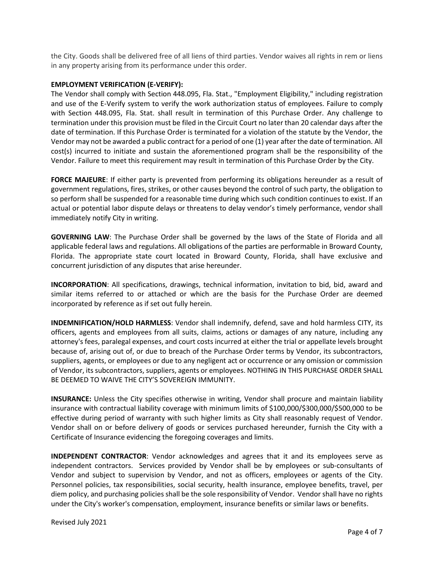the City. Goods shall be delivered free of all liens of third parties. Vendor waives all rights in rem or liens in any property arising from its performance under this order.

#### **EMPLOYMENT VERIFICATION (E-VERIFY):**

The Vendor shall comply with Section 448.095, Fla. Stat., "Employment Eligibility," including registration and use of the E-Verify system to verify the work authorization status of employees. Failure to comply with Section 448.095, Fla. Stat. shall result in termination of this Purchase Order. Any challenge to termination under this provision must be filed in the Circuit Court no later than 20 calendar days after the date of termination. If this Purchase Order is terminated for a violation of the statute by the Vendor, the Vendor may not be awarded a public contract for a period of one (1) year after the date of termination. All cost(s) incurred to initiate and sustain the aforementioned program shall be the responsibility of the Vendor. Failure to meet this requirement may result in termination of this Purchase Order by the City.

**FORCE MAJEURE**: If either party is prevented from performing its obligations hereunder as a result of government regulations, fires, strikes, or other causes beyond the control of such party, the obligation to so perform shall be suspended for a reasonable time during which such condition continues to exist. If an actual or potential labor dispute delays or threatens to delay vendor's timely performance, vendor shall immediately notify City in writing.

**GOVERNING LAW**: The Purchase Order shall be governed by the laws of the State of Florida and all applicable federal laws and regulations. All obligations of the parties are performable in Broward County, Florida. The appropriate state court located in Broward County, Florida, shall have exclusive and concurrent jurisdiction of any disputes that arise hereunder.

**INCORPORATION**: All specifications, drawings, technical information, invitation to bid, bid, award and similar items referred to or attached or which are the basis for the Purchase Order are deemed incorporated by reference as if set out fully herein.

**INDEMNIFICATION/HOLD HARMLESS**: Vendor shall indemnify, defend, save and hold harmless CITY, its officers, agents and employees from all suits, claims, actions or damages of any nature, including any attorney's fees, paralegal expenses, and court costs incurred at either the trial or appellate levels brought because of, arising out of, or due to breach of the Purchase Order terms by Vendor, its subcontractors, suppliers, agents, or employees or due to any negligent act or occurrence or any omission or commission of Vendor, its subcontractors, suppliers, agents or employees. NOTHING IN THIS PURCHASE ORDER SHALL BE DEEMED TO WAIVE THE CITY'S SOVEREIGN IMMUNITY.

**INSURANCE:** Unless the City specifies otherwise in writing, Vendor shall procure and maintain liability insurance with contractual liability coverage with minimum limits of \$100,000/\$300,000/\$500,000 to be effective during period of warranty with such higher limits as City shall reasonably request of Vendor. Vendor shall on or before delivery of goods or services purchased hereunder, furnish the City with a Certificate of Insurance evidencing the foregoing coverages and limits.

**INDEPENDENT CONTRACTOR**: Vendor acknowledges and agrees that it and its employees serve as independent contractors. Services provided by Vendor shall be by employees or sub-consultants of Vendor and subject to supervision by Vendor, and not as officers, employees or agents of the City. Personnel policies, tax responsibilities, social security, health insurance, employee benefits, travel, per diem policy, and purchasing policies shall be the sole responsibility of Vendor. Vendor shall have no rights under the City's worker's compensation, employment, insurance benefits or similar laws or benefits.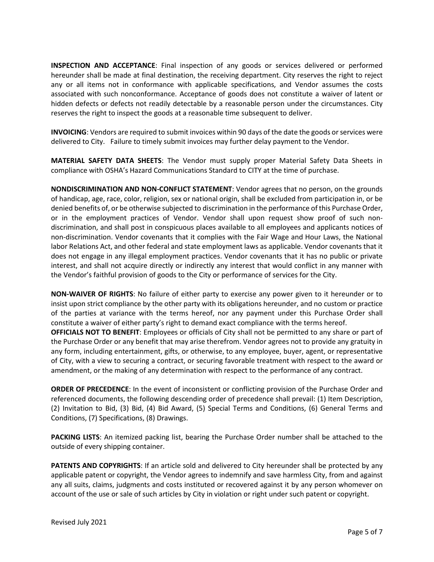**INSPECTION AND ACCEPTANCE**: Final inspection of any goods or services delivered or performed hereunder shall be made at final destination, the receiving department. City reserves the right to reject any or all items not in conformance with applicable specifications, and Vendor assumes the costs associated with such nonconformance. Acceptance of goods does not constitute a waiver of latent or hidden defects or defects not readily detectable by a reasonable person under the circumstances. City reserves the right to inspect the goods at a reasonable time subsequent to deliver.

**INVOICING**: Vendors are required to submit invoices within 90 days of the date the goods or services were delivered to City. Failure to timely submit invoices may further delay payment to the Vendor.

**MATERIAL SAFETY DATA SHEETS**: The Vendor must supply proper Material Safety Data Sheets in compliance with OSHA's Hazard Communications Standard to CITY at the time of purchase.

**NONDISCRIMINATION AND NON-CONFLICT STATEMENT**: Vendor agrees that no person, on the grounds of handicap, age, race, color, religion, sex or national origin, shall be excluded from participation in, or be denied benefits of, or be otherwise subjected to discrimination in the performance of this Purchase Order, or in the employment practices of Vendor. Vendor shall upon request show proof of such nondiscrimination, and shall post in conspicuous places available to all employees and applicants notices of non-discrimination. Vendor covenants that it complies with the Fair Wage and Hour Laws, the National labor Relations Act, and other federal and state employment laws as applicable. Vendor covenants that it does not engage in any illegal employment practices. Vendor covenants that it has no public or private interest, and shall not acquire directly or indirectly any interest that would conflict in any manner with the Vendor's faithful provision of goods to the City or performance of services for the City.

**NON-WAIVER OF RIGHTS**: No failure of either party to exercise any power given to it hereunder or to insist upon strict compliance by the other party with its obligations hereunder, and no custom or practice of the parties at variance with the terms hereof, nor any payment under this Purchase Order shall constitute a waiver of either party's right to demand exact compliance with the terms hereof.

**OFFICIALS NOT TO BENEFIT**: Employees or officials of City shall not be permitted to any share or part of the Purchase Order or any benefit that may arise therefrom. Vendor agrees not to provide any gratuity in any form, including entertainment, gifts, or otherwise, to any employee, buyer, agent, or representative of City, with a view to securing a contract, or securing favorable treatment with respect to the award or amendment, or the making of any determination with respect to the performance of any contract.

**ORDER OF PRECEDENCE**: In the event of inconsistent or conflicting provision of the Purchase Order and referenced documents, the following descending order of precedence shall prevail: (1) Item Description, (2) Invitation to Bid, (3) Bid, (4) Bid Award, (5) Special Terms and Conditions, (6) General Terms and Conditions, (7) Specifications, (8) Drawings.

**PACKING LISTS**: An itemized packing list, bearing the Purchase Order number shall be attached to the outside of every shipping container.

**PATENTS AND COPYRIGHTS**: If an article sold and delivered to City hereunder shall be protected by any applicable patent or copyright, the Vendor agrees to indemnify and save harmless City, from and against any all suits, claims, judgments and costs instituted or recovered against it by any person whomever on account of the use or sale of such articles by City in violation or right under such patent or copyright.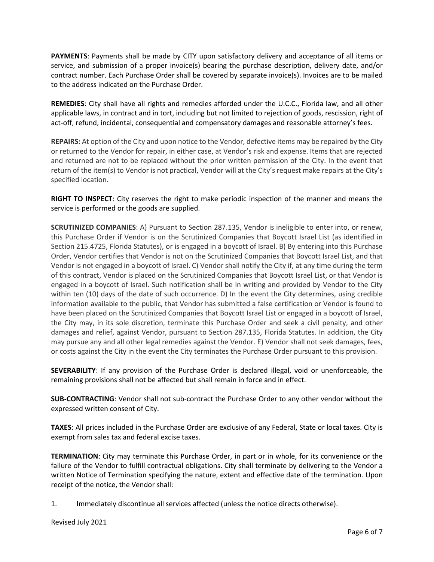**PAYMENTS**: Payments shall be made by CITY upon satisfactory delivery and acceptance of all items or service, and submission of a proper invoice(s) bearing the purchase description, delivery date, and/or contract number. Each Purchase Order shall be covered by separate invoice(s). Invoices are to be mailed to the address indicated on the Purchase Order.

**REMEDIES**: City shall have all rights and remedies afforded under the U.C.C., Florida law, and all other applicable laws, in contract and in tort, including but not limited to rejection of goods, rescission, right of act-off, refund, incidental, consequential and compensatory damages and reasonable attorney's fees.

**REPAIRS:** At option of the City and upon notice to the Vendor, defective items may be repaired by the City or returned to the Vendor for repair, in either case, at Vendor's risk and expense. Items that are rejected and returned are not to be replaced without the prior written permission of the City. In the event that return of the item(s) to Vendor is not practical, Vendor will at the City's request make repairs at the City's specified location.

**RIGHT TO INSPECT**: City reserves the right to make periodic inspection of the manner and means the service is performed or the goods are supplied.

**SCRUTINIZED COMPANIES**: A) Pursuant to Section 287.135, Vendor is ineligible to enter into, or renew, this Purchase Order if Vendor is on the Scrutinized Companies that Boycott Israel List (as identified in Section 215.4725, Florida Statutes), or is engaged in a boycott of Israel. B) By entering into this Purchase Order, Vendor certifies that Vendor is not on the Scrutinized Companies that Boycott Israel List, and that Vendor is not engaged in a boycott of Israel. C) Vendor shall notify the City if, at any time during the term of this contract, Vendor is placed on the Scrutinized Companies that Boycott Israel List, or that Vendor is engaged in a boycott of Israel. Such notification shall be in writing and provided by Vendor to the City within ten (10) days of the date of such occurrence. D) In the event the City determines, using credible information available to the public, that Vendor has submitted a false certification or Vendor is found to have been placed on the Scrutinized Companies that Boycott Israel List or engaged in a boycott of Israel, the City may, in its sole discretion, terminate this Purchase Order and seek a civil penalty, and other damages and relief, against Vendor, pursuant to Section 287.135, Florida Statutes. In addition, the City may pursue any and all other legal remedies against the Vendor. E) Vendor shall not seek damages, fees, or costs against the City in the event the City terminates the Purchase Order pursuant to this provision.

**SEVERABILITY**: If any provision of the Purchase Order is declared illegal, void or unenforceable, the remaining provisions shall not be affected but shall remain in force and in effect.

**SUB-CONTRACTING**: Vendor shall not sub-contract the Purchase Order to any other vendor without the expressed written consent of City.

**TAXES**: All prices included in the Purchase Order are exclusive of any Federal, State or local taxes. City is exempt from sales tax and federal excise taxes.

**TERMINATION**: City may terminate this Purchase Order, in part or in whole, for its convenience or the failure of the Vendor to fulfill contractual obligations. City shall terminate by delivering to the Vendor a written Notice of Termination specifying the nature, extent and effective date of the termination. Upon receipt of the notice, the Vendor shall:

1. Immediately discontinue all services affected (unless the notice directs otherwise).